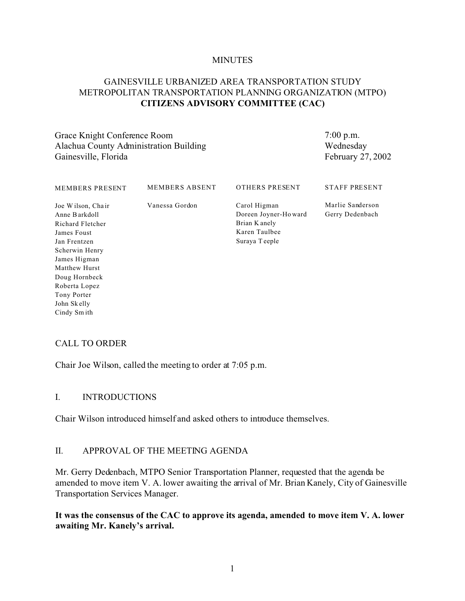#### **MINUTES**

## GAINESVILLE URBANIZED AREA TRANSPORTATION STUDY METROPOLITAN TRANSPORTATION PLANNING ORGANIZATION (MTPO) **CITIZENS ADVISORY COMMITTEE (CAC)**

Grace Knight Conference Room Alachua County Administration Building Gainesville, Florida

7:00 p.m. Wednesday February 27, 2002

| <b>MEMBERS PRESENT</b>                                                                                                                                                                                   | <b>MEMBERS ABSENT</b> | <b>OTHERS PRESENT</b>                                                                   | <b>STAFF PRESENT</b>                |
|----------------------------------------------------------------------------------------------------------------------------------------------------------------------------------------------------------|-----------------------|-----------------------------------------------------------------------------------------|-------------------------------------|
| Joe Wilson, Chair<br>Anne Barkdoll<br>Richard Fletcher<br>James Foust<br>Jan Frentzen<br>Scherwin Henry<br>James Higman<br>Matthew Hurst<br>Doug Hornbeck<br>Roberta Lopez<br>Tony Porter<br>John Skelly | Vanessa Gordon        | Carol Higman<br>Doreen Joyner-Howard<br>Brian K anely<br>Karen Taulbee<br>Suraya Teeple | Marlie Sanderson<br>Gerry Dedenbach |
| Cindy Smith                                                                                                                                                                                              |                       |                                                                                         |                                     |

### CALL TO ORDER

Chair Joe Wilson, called the meeting to order at 7:05 p.m.

#### I. INTRODUCTIONS

Chair Wilson introduced himself and asked others to introduce themselves.

### II. APPROVAL OF THE MEETING AGENDA

Mr. Gerry Dedenbach, MTPO Senior Transportation Planner, requested that the agenda be amended to move item V. A. lower awaiting the arrival of Mr. Brian Kanely, City of Gainesville Transportation Services Manager.

#### **It was the consensus of the CAC to approve its agenda, amended to move item V. A. lower awaiting Mr. Kanely's arrival.**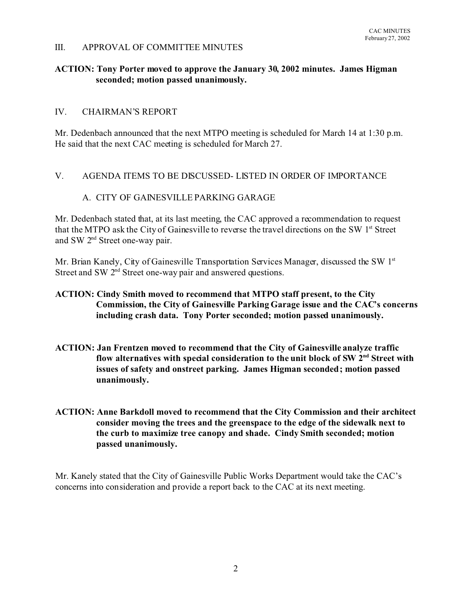#### III. APPROVAL OF COMMITTEE MINUTES

## **ACTION: Tony Porter moved to approve the January 30, 2002 minutes. James Higman seconded; motion passed unanimously.**

#### IV. CHAIRMAN'S REPORT

Mr. Dedenbach announced that the next MTPO meeting is scheduled for March 14 at 1:30 p.m. He said that the next CAC meeting is scheduled for March 27.

#### V. AGENDA ITEMS TO BE DISCUSSED- LISTED IN ORDER OF IMPORTANCE

### A. CITY OF GAINESVILLE PARKING GARAGE

Mr. Dedenbach stated that, at its last meeting, the CAC approved a recommendation to request that the MTPO ask the City of Gainesville to reverse the travel directions on the SW 1<sup>st</sup> Street and SW 2nd Street one-way pair.

Mr. Brian Kanely, City of Gainesville Transportation Services Manager, discussed the SW 1<sup>st</sup> Street and SW 2<sup>nd</sup> Street one-way pair and answered questions.

### **ACTION: Cindy Smith moved to recommend that MTPO staff present, to the City Commission, the City of Gainesville Parking Garage issue and the CAC's concerns including crash data. Tony Porter seconded; motion passed unanimously.**

- **ACTION: Jan Frentzen moved to recommend that the City of Gainesville analyze traffic flow alternatives with special consideration to the unit block of SW 2nd Street with issues of safety and onstreet parking. James Higman seconded; motion passed unanimously.**
- **ACTION: Anne Barkdoll moved to recommend that the City Commission and their architect consider moving the trees and the greenspace to the edge of the sidewalk next to the curb to maximize tree canopy and shade. Cindy Smith seconded; motion passed unanimously.**

Mr. Kanely stated that the City of Gainesville Public Works Department would take the CAC's concerns into consideration and provide a report back to the CAC at its next meeting.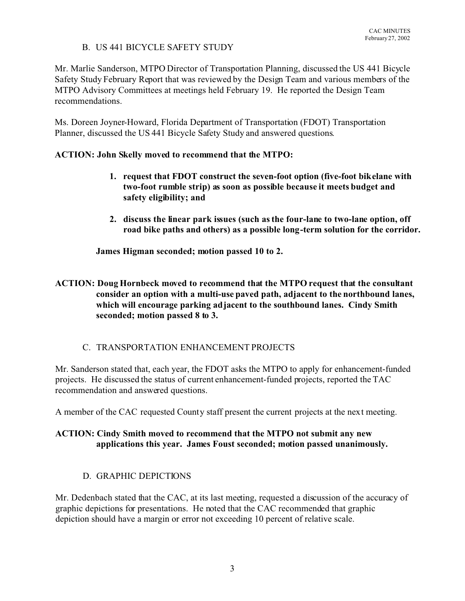### B. US 441 BICYCLE SAFETY STUDY

Mr. Marlie Sanderson, MTPO Director of Transportation Planning, discussed the US 441 Bicycle Safety Study February Report that was reviewed by the Design Team and various members of the MTPO Advisory Committees at meetings held February 19. He reported the Design Team recommendations.

Ms. Doreen Joyner-Howard, Florida Department of Transportation (FDOT) Transportation Planner, discussed the US 441 Bicycle Safety Study and answered questions.

## **ACTION: John Skelly moved to recommend that the MTPO:**

- **1. request that FDOT construct the seven-foot option (five-foot bikelane with two-foot rumble strip) as soon as possible because it meets budget and safety eligibility; and**
- **2. discuss the linear park issues (such as the four-lane to two-lane option, off road bike paths and others) as a possible long-term solution for the corridor.**

**James Higman seconded; motion passed 10 to 2.**

## **ACTION: Doug Hornbeck moved to recommend that the MTPO request that the consultant consider an option with a multi-use paved path, adjacent to the northbound lanes, which will encourage parking adjacent to the southbound lanes. Cindy Smith seconded; motion passed 8 to 3.**

## C. TRANSPORTATION ENHANCEMENT PROJECTS

Mr. Sanderson stated that, each year, the FDOT asks the MTPO to apply for enhancement-funded projects. He discussed the status of current enhancement-funded projects, reported the TAC recommendation and answered questions.

A member of the CAC requested County staff present the current projects at the next meeting.

# **ACTION: Cindy Smith moved to recommend that the MTPO not submit any new applications this year. James Foust seconded; motion passed unanimously.**

## D. GRAPHIC DEPICTIONS

Mr. Dedenbach stated that the CAC, at its last meeting, requested a discussion of the accuracy of graphic depictions for presentations. He noted that the CAC recommended that graphic depiction should have a margin or error not exceeding 10 percent of relative scale.